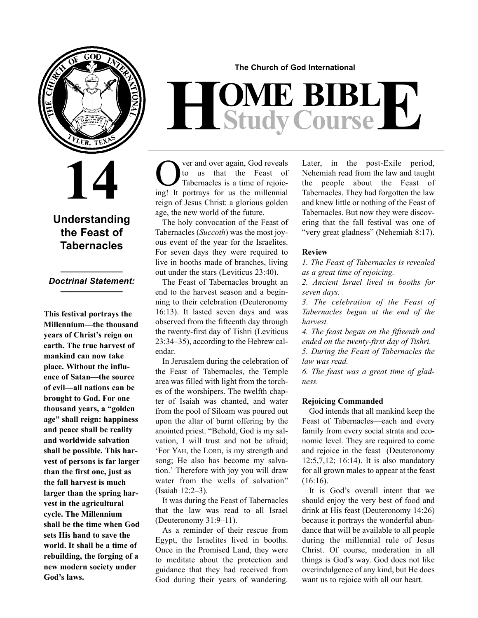

**14**

# **Understanding the Feast of Tabernacles**

# **\_\_\_\_\_\_\_\_\_\_\_\_\_** *Doctrinal Statement:* **\_\_\_\_\_\_\_\_\_\_\_\_\_**

**This festival portrays the Millennium—the thousand years of Christ's reign on earth. The true harvest of mankind can now take place. Without the influence of Satan—the source of evil—all nations can be brought to God. For one thousand years, a "golden age" shall reign: happiness and peace shall be reality and worldwide salvation shall be possible. This harvest of persons is far larger than the first one, just as the fall harvest is much larger than the spring harvest in the agricultural cycle. The Millennium shall be the time when God sets His hand to save the world. It shall be a time of rebuilding, the forging of a new modern society under God's laws.**

**The Church of God International**

# $H$ **Study Course**

ver and over again, God reveals to us that the Feast of Tabernacles is a time of rejoicing! It portrays for us the millennial reign of Jesus Christ: a glorious golden age, the new world of the future.

The holy convocation of the Feast of Tabernacles (*Succoth*) was the most joyous event of the year for the Israelites. For seven days they were required to live in booths made of branches, living out under the stars (Leviticus 23:40).

The Feast of Tabernacles brought an end to the harvest season and a beginning to their celebration (Deuteronomy 16:13). It lasted seven days and was observed from the fifteenth day through the twenty-first day of Tishri (Leviticus 23:34–35), according to the Hebrew calendar.

In Jerusalem during the celebration of the Feast of Tabernacles, the Temple area was filled with light from the torches of the worshipers. The twelfth chapter of Isaiah was chanted, and water from the pool of Siloam was poured out upon the altar of burnt offering by the anointed priest. "Behold, God is my salvation, I will trust and not be afraid; 'For YAH, the LORD, is my strength and song; He also has become my salvation.' Therefore with joy you will draw water from the wells of salvation" (Isaiah 12:2–3).

It was during the Feast of Tabernacles that the law was read to all Israel (Deuteronomy 31:9–11).

As a reminder of their rescue from Egypt, the Israelites lived in booths. Once in the Promised Land, they were to meditate about the protection and guidance that they had received from God during their years of wandering. Later, in the post-Exile period, Nehemiah read from the law and taught the people about the Feast of Tabernacles. They had forgotten the law and knew little or nothing of the Feast of Tabernacles. But now they were discovering that the fall festival was one of "very great gladness" (Nehemiah 8:17).

#### **Review**

*1. The Feast of Tabernacles is revealed as a great time of rejoicing.*

*2. Ancient Israel lived in booths for seven days.*

*3. The celebration of the Feast of Tabernacles began at the end of the harvest.*

*4. The feast began on the fifteenth and ended on the twenty-first day of Tishri. 5. During the Feast of Tabernacles the law was read.*

*6. The feast was a great time of gladness.*

#### **Rejoicing Commanded**

God intends that all mankind keep the Feast of Tabernacles—each and every family from every social strata and economic level. They are required to come and rejoice in the feast (Deuteronomy 12:5,7,12; 16:14). It is also mandatory for all grown males to appear at the feast (16:16).

It is God's overall intent that we should enjoy the very best of food and drink at His feast (Deuteronomy 14:26) because it portrays the wonderful abundance that will be available to all people during the millennial rule of Jesus Christ. Of course, moderation in all things is God's way. God does not like overindulgence of any kind, but He does want us to rejoice with all our heart.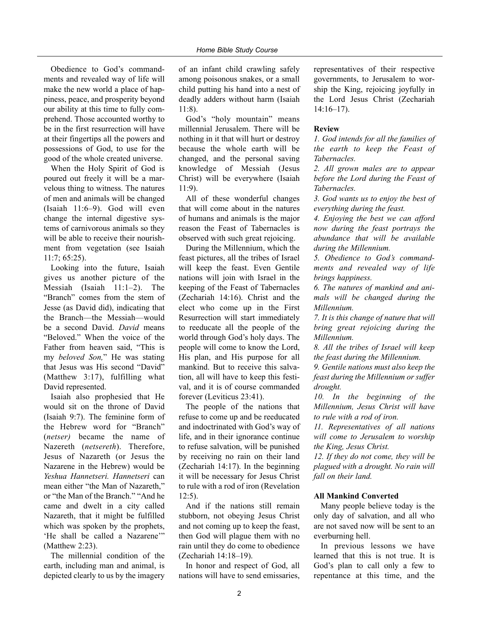Obedience to God's commandments and revealed way of life will make the new world a place of happiness, peace, and prosperity beyond our ability at this time to fully comprehend. Those accounted worthy to be in the first resurrection will have at their fingertips all the powers and possessions of God, to use for the good of the whole created universe.

When the Holy Spirit of God is poured out freely it will be a marvelous thing to witness. The natures of men and animals will be changed (Isaiah 11:6–9). God will even change the internal digestive systems of carnivorous animals so they will be able to receive their nourishment from vegetation (see Isaiah 11:7; 65:25).

Looking into the future, Isaiah gives us another picture of the Messiah (Isaiah 11:1–2). The "Branch" comes from the stem of Jesse (as David did), indicating that the Branch—the Messiah—would be a second David. *David* means "Beloved." When the voice of the Father from heaven said, "This is my *beloved Son,*" He was stating that Jesus was His second "David" (Matthew 3:17), fulfilling what David represented.

Isaiah also prophesied that He would sit on the throne of David (Isaiah 9:7). The feminine form of the Hebrew word for "Branch" (*netser)* became the name of Nazereth (*netsereth*). Therefore, Jesus of Nazareth (or Jesus the Nazarene in the Hebrew) would be *Yeshua Hannetseri. Hannetseri* can mean either "the Man of Nazareth," or "the Man of the Branch." "And he came and dwelt in a city called Nazareth, that it might be fulfilled which was spoken by the prophets, 'He shall be called a Nazarene'" (Matthew 2:23).

The millennial condition of the earth, including man and animal, is depicted clearly to us by the imagery of an infant child crawling safely among poisonous snakes, or a small child putting his hand into a nest of deadly adders without harm (Isaiah 11:8).

God's "holy mountain" means millennial Jerusalem. There will be nothing in it that will hurt or destroy because the whole earth will be changed, and the personal saving knowledge of Messiah (Jesus Christ) will be everywhere (Isaiah 11:9).

All of these wonderful changes that will come about in the natures of humans and animals is the major reason the Feast of Tabernacles is observed with such great rejoicing.

During the Millennium, which the feast pictures, all the tribes of Israel will keep the feast. Even Gentile nations will join with Israel in the keeping of the Feast of Tabernacles (Zechariah 14:16). Christ and the elect who come up in the First Resurrection will start immediately to reeducate all the people of the world through God's holy days. The people will come to know the Lord, His plan, and His purpose for all mankind. But to receive this salvation, all will have to keep this festival, and it is of course commanded forever (Leviticus 23:41).

The people of the nations that refuse to come up and be reeducated and indoctrinated with God's way of life, and in their ignorance continue to refuse salvation, will be punished by receiving no rain on their land (Zechariah 14:17). In the beginning it will be necessary for Jesus Christ to rule with a rod of iron (Revelation 12:5).

And if the nations still remain stubborn, not obeying Jesus Christ and not coming up to keep the feast, then God will plague them with no rain until they do come to obedience (Zechariah 14:18–19).

In honor and respect of God, all nations will have to send emissaries, representatives of their respective governments, to Jerusalem to worship the King, rejoicing joyfully in the Lord Jesus Christ (Zechariah 14:16–17).

# **Review**

*1. God intends for all the families of the earth to keep the Feast of Tabernacles.*

*2. All grown males are to appear before the Lord during the Feast of Tabernacles.*

*3. God wants us to enjoy the best of everything during the feast.*

*4. Enjoying the best we can afford now during the feast portrays the abundance that will be available during the Millennium.*

*5. Obedience to God's commandments and revealed way of life brings happiness.*

*6. The natures of mankind and animals will be changed during the Millennium.*

*7. It is this change of nature that will bring great rejoicing during the Millennium.*

*8. All the tribes of Israel will keep the feast during the Millennium.*

*9. Gentile nations must also keep the feast during the Millennium or suffer drought.*

*10. In the beginning of the Millennium, Jesus Christ will have to rule with a rod of iron.*

*11. Representatives of all nations will come to Jerusalem to worship the King, Jesus Christ.*

*12. If they do not come, they will be plagued with a drought. No rain will fall on their land.*

# **All Mankind Converted**

Many people believe today is the only day of salvation, and all who are not saved now will be sent to an everburning hell.

In previous lessons we have learned that this is not true. It is God's plan to call only a few to repentance at this time, and the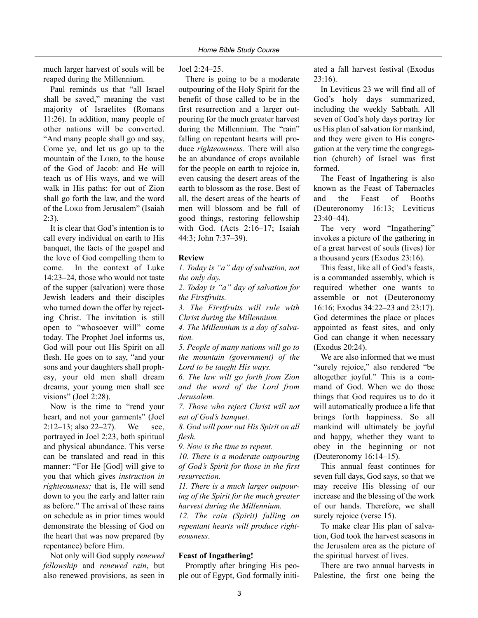much larger harvest of souls will be reaped during the Millennium.

Paul reminds us that "all Israel shall be saved," meaning the vast majority of Israelites (Romans 11:26). In addition, many people of other nations will be converted. "And many people shall go and say, Come ye, and let us go up to the mountain of the LORD, to the house of the God of Jacob: and He will teach us of His ways, and we will walk in His paths: for out of Zion shall go forth the law, and the word of the LORD from Jerusalem" (Isaiah 2:3).

It is clear that God's intention is to call every individual on earth to His banquet, the facts of the gospel and the love of God compelling them to come. In the context of Luke 14:23–24, those who would not taste of the supper (salvation) were those Jewish leaders and their disciples who turned down the offer by rejecting Christ. The invitation is still open to "whosoever will" come today. The Prophet Joel informs us, God will pour out His Spirit on all flesh. He goes on to say, "and your sons and your daughters shall prophesy, your old men shall dream dreams, your young men shall see visions" (Joel 2:28).

Now is the time to "rend your heart, and not your garments" (Joel 2:12–13; also 22–27). We see, portrayed in Joel 2:23, both spiritual and physical abundance. This verse can be translated and read in this manner: "For He [God] will give to you that which gives *instruction in righteousness;* that is, He will send down to you the early and latter rain as before." The arrival of these rains on schedule as in prior times would demonstrate the blessing of God on the heart that was now prepared (by repentance) before Him.

Not only will God supply *renewed fellowship* and *renewed rain*, but also renewed provisions, as seen in Joel 2:24–25.

There is going to be a moderate outpouring of the Holy Spirit for the benefit of those called to be in the first resurrection and a larger outpouring for the much greater harvest during the Millennium. The "rain" falling on repentant hearts will produce *righteousness.* There will also be an abundance of crops available for the people on earth to rejoice in, even causing the desert areas of the earth to blossom as the rose. Best of all, the desert areas of the hearts of men will blossom and be full of good things, restoring fellowship with God. (Acts 2:16–17; Isaiah 44:3; John 7:37–39).

#### **Review**

*1. Today is "a" day of salvation, not the only day.*

*2. Today is "a" day of salvation for the Firstfruits.*

*3. The Firstfruits will rule with Christ during the Millennium.*

*4. The Millennium is a day of salvation.*

*5. People of many nations will go to the mountain (government) of the Lord to be taught His ways.*

*6. The law will go forth from Zion and the word of the Lord from Jerusalem.*

*7. Those who reject Christ will not eat of God's banquet.*

*8. God will pour out His Spirit on all flesh.*

*9. Now is the time to repent.*

*10. There is a moderate outpouring of God's Spirit for those in the first resurrection.*

*11. There is a much larger outpouring of the Spirit for the much greater harvest during the Millennium.*

*12. The rain (Spirit) falling on repentant hearts will produce righteousness*.

# **Feast of Ingathering!**

Promptly after bringing His people out of Egypt, God formally initiated a fall harvest festival (Exodus 23:16).

In Leviticus 23 we will find all of God's holy days summarized, including the weekly Sabbath. All seven of God's holy days portray for us His plan of salvation for mankind, and they were given to His congregation at the very time the congregation (church) of Israel was first formed.

The Feast of Ingathering is also known as the Feast of Tabernacles and the Feast of Booths (Deuteronomy 16:13; Leviticus 23:40–44).

The very word "Ingathering" invokes a picture of the gathering in of a great harvest of souls (lives) for a thousand years (Exodus 23:16).

This feast, like all of God's feasts, is a commanded assembly, which is required whether one wants to assemble or not (Deuteronomy 16:16; Exodus 34:22–23 and 23:17). God determines the place or places appointed as feast sites, and only God can change it when necessary (Exodus 20:24).

We are also informed that we must "surely rejoice," also rendered "be altogether joyful." This is a command of God. When we do those things that God requires us to do it will automatically produce a life that brings forth happiness. So all mankind will ultimately be joyful and happy, whether they want to obey in the beginning or not (Deuteronomy 16:14–15).

This annual feast continues for seven full days, God says, so that we may receive His blessing of our increase and the blessing of the work of our hands. Therefore, we shall surely rejoice (verse 15).

To make clear His plan of salvation, God took the harvest seasons in the Jerusalem area as the picture of the spiritual harvest of lives.

There are two annual harvests in Palestine, the first one being the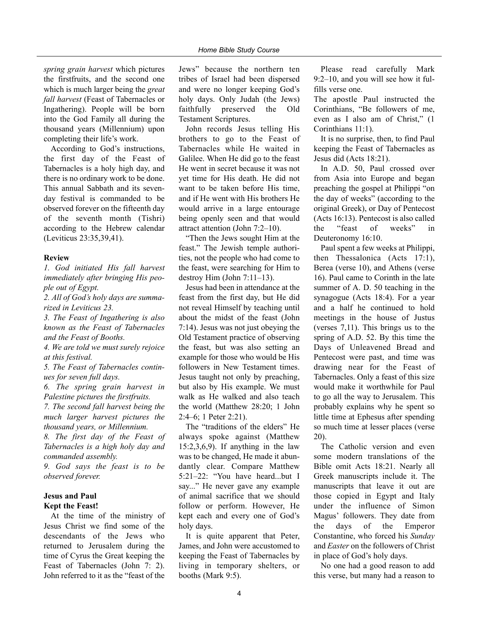*spring grain harvest* which pictures the firstfruits, and the second one which is much larger being the *great fall harvest* (Feast of Tabernacles or Ingathering). People will be born into the God Family all during the thousand years (Millennium) upon completing their life's work.

According to God's instructions, the first day of the Feast of Tabernacles is a holy high day, and there is no ordinary work to be done. This annual Sabbath and its sevenday festival is commanded to be observed forever on the fifteenth day of the seventh month (Tishri) according to the Hebrew calendar (Leviticus 23:35,39,41).

#### **Review**

*1. God initiated His fall harvest immediately after bringing His people out of Egypt.*

*2. All of God's holy days are summarized in Leviticus 23.*

*3. The Feast of Ingathering is also known as the Feast of Tabernacles and the Feast of Booths.*

*4. We are told we must surely rejoice at this festival.*

*5. The Feast of Tabernacles continues for seven full days.*

*6. The spring grain harvest in Palestine pictures the firstfruits.*

*7. The second fall harvest being the much larger harvest pictures the thousand years, or Millennium.*

*8. The first day of the Feast of Tabernacles is a high holy day and commanded assembly.*

*9. God says the feast is to be observed forever.*

#### **Jesus and Paul Kept the Feast!**

At the time of the ministry of Jesus Christ we find some of the descendants of the Jews who returned to Jerusalem during the time of Cyrus the Great keeping the Feast of Tabernacles (John 7: 2). John referred to it as the "feast of the

Jews" because the northern ten tribes of Israel had been dispersed and were no longer keeping God's holy days. Only Judah (the Jews) faithfully preserved the Old Testament Scriptures.

John records Jesus telling His brothers to go to the Feast of Tabernacles while He waited in Galilee. When He did go to the feast He went in secret because it was not yet time for His death. He did not want to be taken before His time, and if He went with His brothers He would arrive in a large entourage being openly seen and that would attract attention (John 7:2–10).

"Then the Jews sought Him at the feast." The Jewish temple authorities, not the people who had come to the feast, were searching for Him to destroy Him (John 7:11–13).

Jesus had been in attendance at the feast from the first day, but He did not reveal Himself by teaching until about the midst of the feast (John 7:14). Jesus was not just obeying the Old Testament practice of observing the feast, but was also setting an example for those who would be His followers in New Testament times. Jesus taught not only by preaching, but also by His example. We must walk as He walked and also teach the world (Matthew 28:20; 1 John 2:4–6; 1 Peter 2:21).

The "traditions of the elders" He always spoke against (Matthew  $15:2,3,6,9$ . If anything in the law was to be changed, He made it abundantly clear. Compare Matthew 5:21–22: "You have heard...but I say..." He never gave any example of animal sacrifice that we should follow or perform. However, He kept each and every one of God's holy days.

It is quite apparent that Peter, James, and John were accustomed to keeping the Feast of Tabernacles by living in temporary shelters, or booths (Mark 9:5).

Please read carefully Mark 9:2–10, and you will see how it fulfills verse one.

The apostle Paul instructed the Corinthians, "Be followers of me, even as I also am of Christ," (1 Corinthians 11:1).

It is no surprise, then, to find Paul keeping the Feast of Tabernacles as Jesus did (Acts 18:21).

In A.D. 50, Paul crossed over from Asia into Europe and began preaching the gospel at Philippi "on the day of weeks" (according to the original Greek), or Day of Pentecost (Acts 16:13). Pentecost is also called the "feast of weeks" in Deuteronomy 16:10.

Paul spent a few weeks at Philippi, then Thessalonica (Acts 17:1), Berea (verse 10), and Athens (verse 16). Paul came to Corinth in the late summer of A. D. 50 teaching in the synagogue (Acts 18:4). For a year and a half he continued to hold meetings in the house of Justus (verses 7,11). This brings us to the spring of A.D. 52. By this time the Days of Unleavened Bread and Pentecost were past, and time was drawing near for the Feast of Tabernacles. Only a feast of this size would make it worthwhile for Paul to go all the way to Jerusalem. This probably explains why he spent so little time at Ephesus after spending so much time at lesser places (verse 20).

The Catholic version and even some modern translations of the Bible omit Acts 18:21. Nearly all Greek manuscripts include it. The manuscripts that leave it out are those copied in Egypt and Italy under the influence of Simon Magus' followers. They date from the days of the Emperor Constantine, who forced his *Sunday* and *Easter* on the followers of Christ in place of God's holy days.

No one had a good reason to add this verse, but many had a reason to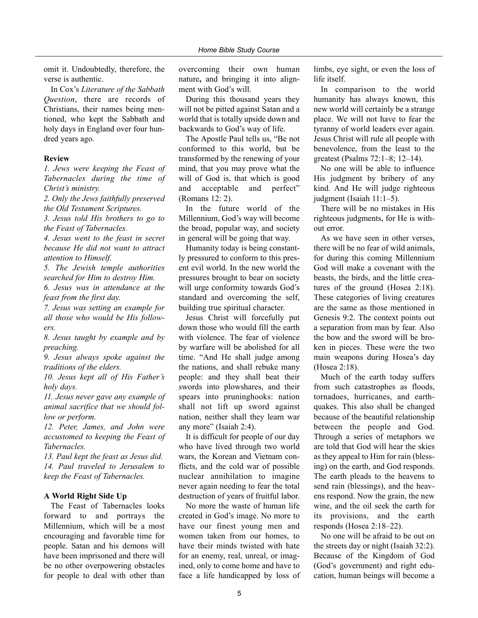omit it. Undoubtedly, therefore, the verse is authentic.

In Cox's *Literature of the Sabbath Question*, there are records of Christians, their names being mentioned, who kept the Sabbath and holy days in England over four hundred years ago.

#### **Review**

*1. Jews were keeping the Feast of Tabernacles during the time of Christ's ministry.*

*2. Only the Jews faithfully preserved the Old Testament Scriptures.*

*3. Jesus told His brothers to go to the Feast of Tabernacles.*

*4. Jesus went to the feast in secret because He did not want to attract attention to Himself.*

*5. The Jewish temple authorities searched for Him to destroy Him.*

*6. Jesus was in attendance at the feast from the first day.*

*7. Jesus was setting an example for all those who would be His followers.*

*8. Jesus taught by example and by preaching.*

*9. Jesus always spoke against the traditions of the elders.*

*10. Jesus kept all of His Father's holy days.*

*11. Jesus never gave any example of animal sacrifice that we should follow or perform.*

*12. Peter, James, and John were accustomed to keeping the Feast of Tabernacles.*

*13. Paul kept the feast as Jesus did. 14. Paul traveled to Jerusalem to keep the Feast of Tabernacles.*

#### **A World Right Side Up**

The Feast of Tabernacles looks forward to and portrays the Millennium, which will be a most encouraging and favorable time for people. Satan and his demons will have been imprisoned and there will be no other overpowering obstacles for people to deal with other than overcoming their own human nature**,** and bringing it into alignment with God's will.

During this thousand years they will not be pitted against Satan and a world that is totally upside down and backwards to God's way of life.

The Apostle Paul tells us, "Be not conformed to this world, but be transformed by the renewing of your mind, that you may prove what the will of God is, that which is good and acceptable and perfect" (Romans 12: 2).

In the future world of the Millennium, God's way will become the broad, popular way, and society in general will be going that way.

Humanity today is being constantly pressured to conform to this present evil world. In the new world the pressures brought to bear on society will urge conformity towards God's standard and overcoming the self, building true spiritual character.

Jesus Christ will forcefully put down those who would fill the earth with violence. The fear of violence by warfare will be abolished for all time. "And He shall judge among the nations, and shall rebuke many people: and they shall beat their swords into plowshares, and their spears into pruninghooks: nation shall not lift up sword against nation, neither shall they learn war any more" (Isaiah 2:4).

It is difficult for people of our day who have lived through two world wars, the Korean and Vietnam conflicts, and the cold war of possible nuclear annihilation to imagine never again needing to fear the total destruction of years of fruitful labor.

No more the waste of human life created in God's image. No more to have our finest young men and women taken from our homes, to have their minds twisted with hate for an enemy, real, unreal, or imagined, only to come home and have to face a life handicapped by loss of limbs, eye sight, or even the loss of life itself.

In comparison to the world humanity has always known, this new world will certainly be a strange place. We will not have to fear the tyranny of world leaders ever again. Jesus Christ will rule all people with benevolence, from the least to the greatest (Psalms 72:1–8; 12–14).

No one will be able to influence His judgment by bribery of any kind. And He will judge righteous judgment (Isaiah 11:1–5).

There will be no mistakes in His righteous judgments, for He is without error.

As we have seen in other verses, there will be no fear of wild animals, for during this coming Millennium God will make a covenant with the beasts, the birds, and the little creatures of the ground (Hosea 2:18). These categories of living creatures are the same as those mentioned in Genesis 9:2. The context points out a separation from man by fear. Also the bow and the sword will be broken in pieces. These were the two main weapons during Hosea's day (Hosea 2:18).

Much of the earth today suffers from such catastrophes as floods, tornadoes, hurricanes, and earthquakes. This also shall be changed because of the beautiful relationship between the people and God. Through a series of metaphors we are told that God will hear the skies as they appeal to Him for rain (blessing) on the earth, and God responds. The earth pleads to the heavens to send rain (blessings), and the heavens respond. Now the grain, the new wine, and the oil seek the earth for its provisions, and the earth responds (Hosea 2:18–22).

No one will be afraid to be out on the streets day or night (Isaiah 32:2). Because of the Kingdom of God (God's government) and right education, human beings will become a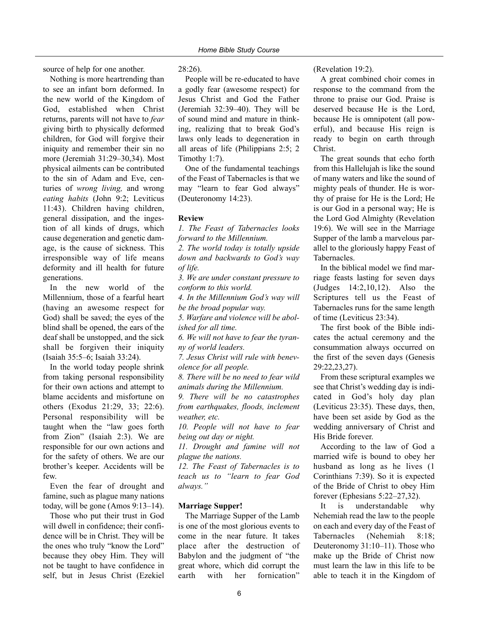source of help for one another.

Nothing is more heartrending than to see an infant born deformed. In the new world of the Kingdom of God, established when Christ returns, parents will not have to *fear* giving birth to physically deformed children, for God will forgive their iniquity and remember their sin no more (Jeremiah 31:29–30,34). Most physical ailments can be contributed to the sin of Adam and Eve, centuries of *wrong living,* and wrong *eating habits* (John 9:2; Leviticus 11:43). Children having children, general dissipation, and the ingestion of all kinds of drugs, which cause degeneration and genetic damage, is the cause of sickness. This irresponsible way of life means deformity and ill health for future generations.

In the new world of the Millennium, those of a fearful heart (having an awesome respect for God) shall be saved; the eyes of the blind shall be opened, the ears of the deaf shall be unstopped, and the sick shall be forgiven their iniquity (Isaiah 35:5–6; Isaiah 33:24).

In the world today people shrink from taking personal responsibility for their own actions and attempt to blame accidents and misfortune on others (Exodus 21:29, 33; 22:6). Personal responsibility will be taught when the "law goes forth from Zion" (Isaiah 2:3). We are responsible for our own actions and for the safety of others. We are our brother's keeper. Accidents will be few.

Even the fear of drought and famine, such as plague many nations today, will be gone (Amos 9:13–14).

Those who put their trust in God will dwell in confidence; their confidence will be in Christ. They will be the ones who truly "know the Lord" because they obey Him. They will not be taught to have confidence in self, but in Jesus Christ (Ezekiel

28:26).

People will be re-educated to have a godly fear (awesome respect) for Jesus Christ and God the Father (Jeremiah 32:39–40). They will be of sound mind and mature in thinking, realizing that to break God's laws only leads to degeneration in all areas of life (Philippians 2:5; 2 Timothy 1:7).

One of the fundamental teachings of the Feast of Tabernacles is that we may "learn to fear God always" (Deuteronomy 14:23).

#### **Review**

*1. The Feast of Tabernacles looks forward to the Millennium.*

*2. The world today is totally upside down and backwards to God's way of life.*

*3. We are under constant pressure to conform to this world.*

*4. In the Millennium God's way will be the broad popular way.*

*5. Warfare and violence will be abolished for all time.*

*6. We will not have to fear the tyranny of world leaders.*

*7. Jesus Christ will rule with benevolence for all people.*

*8. There will be no need to fear wild animals during the Millennium.*

*9. There will be no catastrophes from earthquakes, floods, inclement weather, etc.*

*10. People will not have to fear being out day or night.*

*11. Drought and famine will not plague the nations.*

*12. The Feast of Tabernacles is to teach us to "learn to fear God always."*

# **Marriage Supper!**

The Marriage Supper of the Lamb is one of the most glorious events to come in the near future. It takes place after the destruction of Babylon and the judgment of "the great whore, which did corrupt the earth with her fornication"

(Revelation 19:2).

A great combined choir comes in response to the command from the throne to praise our God. Praise is deserved because He is the Lord, because He is omnipotent (all powerful), and because His reign is ready to begin on earth through Christ.

The great sounds that echo forth from this Hallelujah is like the sound of many waters and like the sound of mighty peals of thunder. He is worthy of praise for He is the Lord; He is our God in a personal way; He is the Lord God Almighty (Revelation 19:6). We will see in the Marriage Supper of the lamb a marvelous parallel to the gloriously happy Feast of Tabernacles.

In the biblical model we find marriage feasts lasting for seven days (Judges 14:2,10,12). Also the Scriptures tell us the Feast of Tabernacles runs for the same length of time (Leviticus 23:34).

The first book of the Bible indicates the actual ceremony and the consummation always occurred on the first of the seven days (Genesis 29:22,23,27).

From these scriptural examples we see that Christ's wedding day is indicated in God's holy day plan (Leviticus 23:35). These days, then, have been set aside by God as the wedding anniversary of Christ and His Bride forever.

According to the law of God a married wife is bound to obey her husband as long as he lives (1 Corinthians 7:39). So it is expected of the Bride of Christ to obey Him forever (Ephesians 5:22–27,32).

It is understandable why Nehemiah read the law to the people on each and every day of the Feast of Tabernacles (Nehemiah 8:18; Deuteronomy 31:10–11). Those who make up the Bride of Christ now must learn the law in this life to be able to teach it in the Kingdom of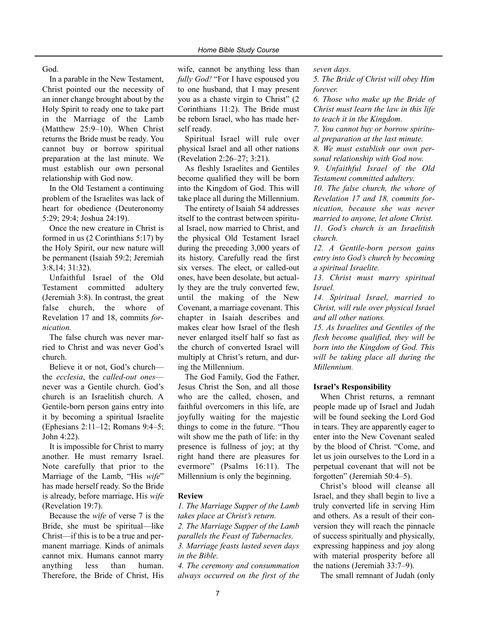God.

In a parable in the New Testament, Christ pointed our the necessity of an inner change brought about by the Holy Spirit to ready one to take part in the Marriage of the Lamb (Matthew 25:9–10). When Christ returns the Bride must be ready. You cannot buy or borrow spiritual preparation at the last minute. We must establish our own personal relationship with God now.

In the Old Testament a continuing problem of the Israelites was lack of heart for obedience (Deuteronomy 5:29; 29:4; Joshua 24:19).

Once the new creature in Christ is formed in us (2 Corinthians 5:17) by the Holy Spirit, our new nature will be permanent (Isaiah 59:2; Jeremiah 3:8,14; 31:32).

Unfaithful Israel of the Old Testament committed adultery (Jeremiah 3:8). In contrast, the great false church, the whore of Revelation 17 and 18, commits *fornication.*

The false church was never married to Christ and was never God's church.

Believe it or not, God's church the *ecclesia*, the *called-out ones* never was a Gentile church. God's church is an Israelitish church. A Gentile-born person gains entry into it by becoming a spiritual Israelite (Ephesians 2:11–12; Romans 9:4–5; John 4:22).

It is impossible for Christ to marry another. He must remarry Israel. Note carefully that prior to the Marriage of the Lamb, "His *wife*" has made herself ready. So the Bride is already, before marriage, His *wife* (Revelation 19:7).

Because the *wife* of verse 7 is the Bride, she must be spiritual—like Christ—if this is to be a true and permanent marriage. Kinds of animals cannot mix. Humans cannot marry anything less than human. Therefore, the Bride of Christ, His

wife, cannot be anything less than *fully God!* "For I have espoused you to one husband, that I may present you as a chaste virgin to Christ" (2 Corinthians 11:2). The Bride must be reborn Israel, who has made herself ready.

Spiritual Israel will rule over physical Israel and all other nations (Revelation 2:26–27; 3:21).

As fleshly Israelites and Gentiles become qualified they will be born into the Kingdom of God. This will take place all during the Millennium.

The entirety of Isaiah 54 addresses itself to the contrast between spiritual Israel, now married to Christ, and the physical Old Testament Israel during the preceding 3,000 years of its history. Carefully read the first six verses. The elect, or called-out ones, have been desolate, but actually they are the truly converted few, until the making of the New Covenant, a marriage covenant. This chapter in Isaiah describes and makes clear how Israel of the flesh never enlarged itself half so fast as the church of converted Israel will multiply at Christ's return, and during the Millennium.

The God Family, God the Father, Jesus Christ the Son, and all those who are the called, chosen, and faithful overcomers in this life, are joyfully waiting for the majestic things to come in the future. "Thou wilt show me the path of life: in thy presence is fullness of joy; at thy right hand there are pleasures for evermore" (Psalms 16:11). The Millennium is only the beginning.

# **Review**

*1. The Marriage Supper of the Lamb takes place at Christ's return. 2. The Marriage Supper of the Lamb parallels the Feast of Tabernacles. 3. Marriage feasts lasted seven days in the Bible.*

*4. The ceremony and consummation always occurred on the first of the* *seven days.*

*5. The Bride of Christ will obey Him forever.*

*6. Those who make up the Bride of Christ must learn the law in this life to teach it in the Kingdom.*

*7. You cannot buy or borrow spiritual preparation at the last minute.*

*8. We must establish our own personal relationship with God now.*

*9. Unfaithful Israel of the Old Testament committed adultery.*

*10. The false church, the whore of Revelation 17 and 18, commits fornication, because she was never married to anyone, let alone Christ. 11. God's church is an Israelitish church.*

*12. A Gentile-born person gains entry into God's church by becoming a spiritual Israelite.*

*13. Christ must marry spiritual Israel.*

*14. Spiritual Israel, married to Christ, will rule over physical Israel and all other nations.*

*15. As Israelites and Gentiles of the flesh become qualified, they will be born into the Kingdom of God. This will be taking place all during the Millennium.*

#### **Israel's Responsibility**

When Christ returns, a remnant people made up of Israel and Judah will be found seeking the Lord God in tears. They are apparently eager to enter into the New Covenant sealed by the blood of Christ. "Come, and let us join ourselves to the Lord in a perpetual covenant that will not be forgotten" (Jeremiah 50:4–5).

Christ's blood will cleanse all Israel, and they shall begin to live a truly converted life in serving Him and others. As a result of their conversion they will reach the pinnacle of success spiritually and physically, expressing happiness and joy along with material prosperity before all the nations (Jeremiah 33:7–9).

The small remnant of Judah (only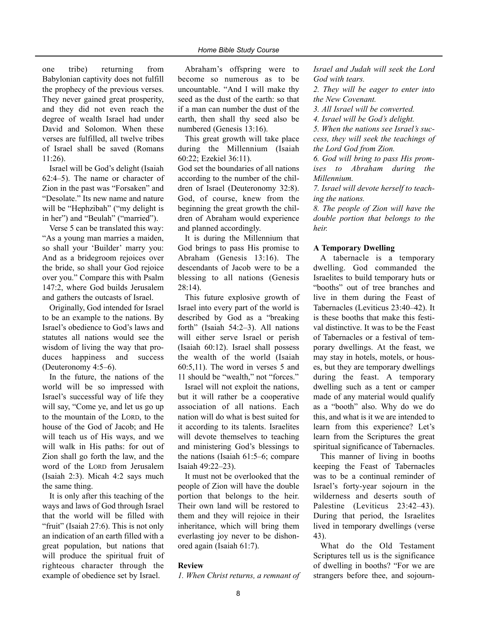one tribe) returning from Babylonian captivity does not fulfill the prophecy of the previous verses. They never gained great prosperity, and they did not even reach the degree of wealth Israel had under David and Solomon. When these verses are fulfilled, all twelve tribes of Israel shall be saved (Romans 11:26).

Israel will be God's delight (Isaiah 62:4–5). The name or character of Zion in the past was "Forsaken" and "Desolate." Its new name and nature will be "Hephzibah" ("my delight is in her") and "Beulah" ("married").

Verse 5 can be translated this way: "As a young man marries a maiden, so shall your 'Builder' marry you: And as a bridegroom rejoices over the bride, so shall your God rejoice over you." Compare this with Psalm 147:2, where God builds Jerusalem and gathers the outcasts of Israel.

Originally, God intended for Israel to be an example to the nations. By Israel's obedience to God's laws and statutes all nations would see the wisdom of living the way that produces happiness and success (Deuteronomy 4:5–6).

In the future, the nations of the world will be so impressed with Israel's successful way of life they will say, "Come ye, and let us go up to the mountain of the LORD, to the house of the God of Jacob; and He will teach us of His ways, and we will walk in His paths: for out of Zion shall go forth the law, and the word of the LORD from Jerusalem (Isaiah 2:3). Micah 4:2 says much the same thing.

It is only after this teaching of the ways and laws of God through Israel that the world will be filled with "fruit" (Isaiah 27:6). This is not only an indication of an earth filled with a great population, but nations that will produce the spiritual fruit of righteous character through the example of obedience set by Israel.

Abraham's offspring were to become so numerous as to be uncountable. "And I will make thy seed as the dust of the earth: so that if a man can number the dust of the earth, then shall thy seed also be numbered (Genesis 13:16).

This great growth will take place during the Millennium (Isaiah 60:22; Ezekiel 36:11).

God set the boundaries of all nations according to the number of the children of Israel (Deuteronomy 32:8). God, of course, knew from the beginning the great growth the children of Abraham would experience and planned accordingly.

It is during the Millennium that God brings to pass His promise to Abraham (Genesis 13:16). The descendants of Jacob were to be a blessing to all nations (Genesis 28:14).

This future explosive growth of Israel into every part of the world is described by God as a "breaking forth" (Isaiah 54:2–3). All nations will either serve Israel or perish (Isaiah 60:12). Israel shall possess the wealth of the world (Isaiah 60:5,11). The word in verses 5 and 11 should be "wealth," not "forces."

Israel will not exploit the nations, but it will rather be a cooperative association of all nations. Each nation will do what is best suited for it according to its talents. Israelites will devote themselves to teaching and ministering God's blessings to the nations (Isaiah 61:5–6; compare Isaiah 49:22–23).

It must not be overlooked that the people of Zion will have the double portion that belongs to the heir. Their own land will be restored to them and they will rejoice in their inheritance, which will bring them everlasting joy never to be dishonored again (Isaiah 61:7).

#### **Review**

*1. When Christ returns, a remnant of*

*Israel and Judah will seek the Lord God with tears.*

*2. They will be eager to enter into the New Covenant.*

*3. All Israel will be converted.*

*4. Israel will be God's delight.*

*5. When the nations see Israel's success, they will seek the teachings of the Lord God from Zion.*

*6. God will bring to pass His promises to Abraham during the Millennium.*

*7. Israel will devote herself to teaching the nations.*

*8. The people of Zion will have the double portion that belongs to the heir.*

#### **A Temporary Dwelling**

A tabernacle is a temporary dwelling. God commanded the Israelites to build temporary huts or "booths" out of tree branches and live in them during the Feast of Tabernacles (Leviticus 23:40–42). It is these booths that make this festival distinctive. It was to be the Feast of Tabernacles or a festival of temporary dwellings. At the feast, we may stay in hotels, motels, or houses, but they are temporary dwellings during the feast. A temporary dwelling such as a tent or camper made of any material would qualify as a "booth" also. Why do we do this, and what is it we are intended to learn from this experience? Let's learn from the Scriptures the great spiritual significance of Tabernacles.

This manner of living in booths keeping the Feast of Tabernacles was to be a continual reminder of Israel's forty-year sojourn in the wilderness and deserts south of Palestine (Leviticus 23:42–43). During that period, the Israelites lived in temporary dwellings (verse 43).

What do the Old Testament Scriptures tell us is the significance of dwelling in booths? "For we are strangers before thee, and sojourn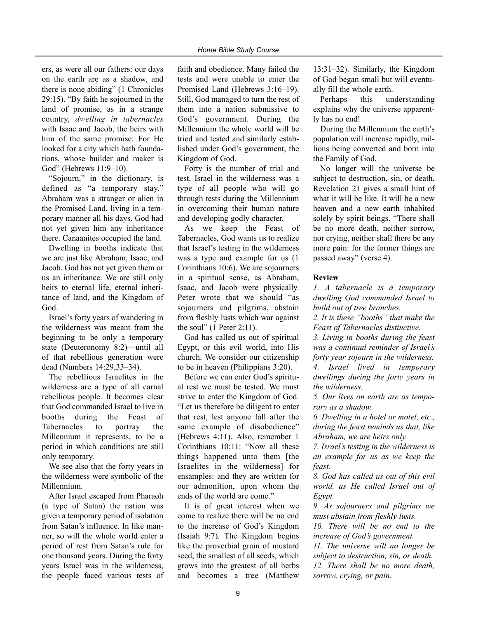ers, as were all our fathers: our days on the earth are as a shadow, and there is none abiding" (1 Chronicles 29:15). "By faith he sojourned in the land of promise, as in a strange country, *dwelling in tabernacles* with Isaac and Jacob, the heirs with him of the same promise: For He looked for a city which hath foundations, whose builder and maker is God" (Hebrews 11:9–10).

"Sojourn," in the dictionary, is defined as "a temporary stay." Abraham was a stranger or alien in the Promised Land, living in a temporary manner all his days. God had not yet given him any inheritance there. Canaanites occupied the land.

Dwelling in booths indicate that we are just like Abraham, Isaac, and Jacob. God has not yet given them or us an inheritance. We are still only heirs to eternal life, eternal inheritance of land, and the Kingdom of God.

Israel's forty years of wandering in the wilderness was meant from the beginning to be only a temporary state (Deuteronomy 8:2)—until all of that rebellious generation were dead (Numbers 14:29,33–34).

The rebellious Israelites in the wilderness are a type of all carnal rebellious people. It becomes clear that God commanded Israel to live in booths during the Feast of Tabernacles to portray the Millennium it represents, to be a period in which conditions are still only temporary.

We see also that the forty years in the wilderness were symbolic of the Millennium.

After Israel escaped from Pharaoh (a type of Satan) the nation was given a temporary period of isolation from Satan's influence. In like manner, so will the whole world enter a period of rest from Satan's rule for one thousand years. During the forty years Israel was in the wilderness, the people faced various tests of faith and obedience. Many failed the tests and were unable to enter the Promised Land (Hebrews 3:16–19). Still, God managed to turn the rest of them into a nation submissive to God's government. During the Millennium the whole world will be tried and tested and similarly established under God's government, the Kingdom of God.

Forty is the number of trial and test. Israel in the wilderness was a type of all people who will go through tests during the Millennium in overcoming their human nature and developing godly character.

As we keep the Feast of Tabernacles, God wants us to realize that Israel's testing in the wilderness was a type and example for us (1 Corinthians 10:6). We are sojourners in a spiritual sense, as Abraham, Isaac, and Jacob were physically. Peter wrote that we should "as sojourners and pilgrims, abstain from fleshly lusts which war against the soul" (1 Peter 2:11).

God has called us out of spiritual Egypt, or this evil world, into His church. We consider our citizenship to be in heaven (Philippians 3:20).

Before we can enter God's spiritual rest we must be tested. We must strive to enter the Kingdom of God. "Let us therefore be diligent to enter that rest, lest anyone fall after the same example of disobedience" (Hebrews 4:11). Also, remember 1 Corinthians 10:11: "Now all these things happened unto them [the Israelites in the wilderness] for ensamples: and they are written for our admonition, upon whom the ends of the world are come."

It is of great interest when we come to realize there will be no end to the increase of God's Kingdom (Isaiah 9:7). The Kingdom begins like the proverbial grain of mustard seed, the smallest of all seeds, which grows into the greatest of all herbs and becomes a tree (Matthew

13:31–32). Similarly, the Kingdom of God began small but will eventually fill the whole earth.

Perhaps this understanding explains why the universe apparently has no end!

During the Millennium the earth's population will increase rapidly, millions being converted and born into the Family of God.

No longer will the universe be subject to destruction, sin, or death. Revelation 21 gives a small hint of what it will be like. It will be a new heaven and a new earth inhabited solely by spirit beings. "There shall be no more death, neither sorrow, nor crying, neither shall there be any more pain: for the former things are passed away" (verse 4).

#### **Review**

*1. A tabernacle is a temporary dwelling God commanded Israel to build out of tree branches.*

*2. It is these "booths" that make the Feast of Tabernacles distinctive.*

*3. Living in booths during the feast was a continual reminder of Israel's forty year sojourn in the wilderness. 4. Israel lived in temporary dwellings during the forty years in the wilderness.*

*5. Our lives on earth are as temporary as a shadow.*

*6. Dwelling in a hotel or motel, etc., during the feast reminds us that, like Abraham, we are heirs only.*

*7. Israel's testing in the wilderness is an example for us as we keep the feast.*

*8. God has called us out of this evil world, as He called Israel out of Egypt.*

*9. As sojourners and pilgrims we must abstain from fleshly lusts.*

*10. There will be no end to the increase of God's government.*

*11. The universe will no longer be subject to destruction, sin, or death. 12. There shall be no more death, sorrow, crying, or pain.*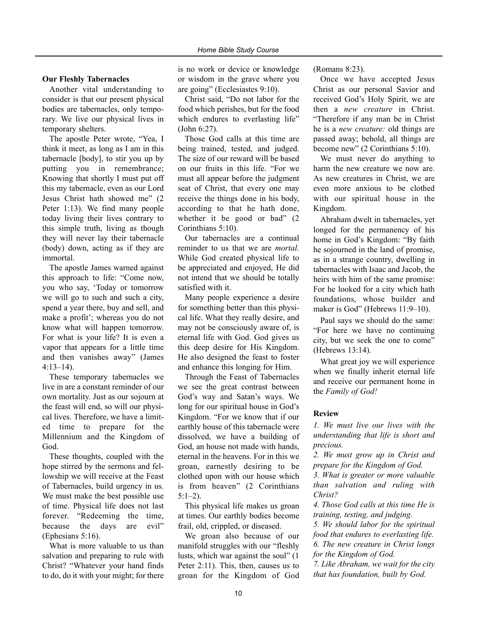#### **Our Fleshly Tabernacles**

Another vital understanding to consider is that our present physical bodies are tabernacles, only temporary. We live our physical lives in temporary shelters.

The apostle Peter wrote, "Yea, I think it meet, as long as I am in this tabernacle [body], to stir you up by putting you in remembrance; Knowing that shortly I must put off this my tabernacle, even as our Lord Jesus Christ hath showed me" (2 Peter 1:13). We find many people today living their lives contrary to this simple truth, living as though they will never lay their tabernacle (body) down, acting as if they are immortal.

The apostle James warned against this approach to life: "Come now, you who say, 'Today or tomorrow we will go to such and such a city, spend a year there, buy and sell, and make a profit'; whereas you do not know what will happen tomorrow. For what is your life? It is even a vapor that appears for a little time and then vanishes away" (James 4:13–14).

These temporary tabernacles we live in are a constant reminder of our own mortality. Just as our sojourn at the feast will end, so will our physical lives. Therefore, we have a limited time to prepare for the Millennium and the Kingdom of God.

These thoughts, coupled with the hope stirred by the sermons and fellowship we will receive at the Feast of Tabernacles, build urgency in us. We must make the best possible use of time. Physical life does not last forever. "Redeeming the time, because the days are evil" (Ephesians 5:16).

What is more valuable to us than salvation and preparing to rule with Christ? "Whatever your hand finds to do, do it with your might; for there

is no work or device or knowledge or wisdom in the grave where you are going" (Ecclesiastes 9:10).

Christ said, "Do not labor for the food which perishes, but for the food which endures to everlasting life" (John 6:27).

Those God calls at this time are being trained, tested, and judged. The size of our reward will be based on our fruits in this life. "For we must all appear before the judgment seat of Christ, that every one may receive the things done in his body, according to that he hath done, whether it be good or bad" (2) Corinthians 5:10).

Our tabernacles are a continual reminder to us that we are *mortal.* While God created physical life to be appreciated and enjoyed, He did not intend that we should be totally satisfied with it.

Many people experience a desire for something better than this physical life. What they really desire, and may not be consciously aware of, is eternal life with God. God gives us this deep desire for His Kingdom. He also designed the feast to foster and enhance this longing for Him.

Through the Feast of Tabernacles we see the great contrast between God's way and Satan's ways. We long for our spiritual house in God's Kingdom. "For we know that if our earthly house of this tabernacle were dissolved, we have a building of God, an house not made with hands, eternal in the heavens. For in this we groan, earnestly desiring to be clothed upon with our house which is from heaven" (2 Corinthians  $5:1-2$ ).

This physical life makes us groan at times. Our earthly bodies become frail, old, crippled, or diseased.

We groan also because of our manifold struggles with our "fleshly lusts, which war against the soul" (1 Peter 2:11). This, then, causes us to groan for the Kingdom of God (Romans 8:23).

Once we have accepted Jesus Christ as our personal Savior and received God's Holy Spirit, we are then a *new creature* in Christ. "Therefore if any man be in Christ he is a *new creature:* old things are passed away; behold, all things are become new" (2 Corinthians 5:10).

We must never do anything to harm the new creature we now are. As new creatures in Christ, we are even more anxious to be clothed with our spiritual house in the Kingdom.

Abraham dwelt in tabernacles, yet longed for the permanency of his home in God's Kingdom: "By faith he sojourned in the land of promise, as in a strange country, dwelling in tabernacles with Isaac and Jacob, the heirs with him of the same promise: For he looked for a city which hath foundations, whose builder and maker is God" (Hebrews 11:9-10).

Paul says we should do the same: "For here we have no continuing city, but we seek the one to come" (Hebrews 13:14).

What great joy we will experience when we finally inherit eternal life and receive our permanent home in the *Family of God!*

# **Review**

*1. We must live our lives with the understanding that life is short and precious.*

*2. We must grow up in Christ and prepare for the Kingdom of God.*

*3. What is greater or more valuable than salvation and ruling with Christ?*

*4. Those God calls at this time He is training, testing, and judging.*

*5. We should labor for the spiritual food that endures to everlasting life. 6. The new creature in Christ longs for the Kingdom of God.*

*7. Like Abraham, we wait for the city that has foundation, built by God.*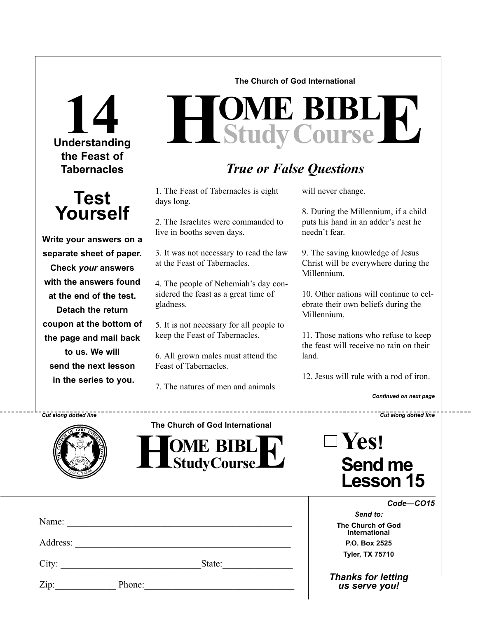**Letter**<br>Understanding **the Feast of Tabernacles**



**Write your answers on a separate sheet of paper. Check** *your* **answers with the answers found at the end of the test. Detach the return coupon at the bottom of the page and mail back to us. We will send the next lesson in the series to you.**

**The Church of God International**

 $H$ **Study Course** 

# *True or False Questions*

1. The Feast of Tabernacles is eight days long.

2. The Israelites were commanded to live in booths seven days.

3. It was not necessary to read the law at the Feast of Tabernacles.

4. The people of Nehemiah's day considered the feast as a great time of gladness.

5. It is not necessary for all people to keep the Feast of Tabernacles.

6. All grown males must attend the Feast of Tabernacles.

7. The natures of men and animals

will never change.

8. During the Millennium, if a child puts his hand in an adder's nest he needn't fear.

9. The saving knowledge of Jesus Christ will be everywhere during the Millennium.

10. Other nations will continue to celebrate their own beliefs during the Millennium.

11. Those nations who refuse to keep the feast will receive no rain on their land.

12. Jesus will rule with a rod of iron.

*Continued on next page*

*Cut along dotted line Cut along dotted line*



**The Church of God International**



| <b>] Yes!</b>                      |
|------------------------------------|
| <b>Send me</b><br><b>Lesson 15</b> |

| Name:    |        |        |  |
|----------|--------|--------|--|
| Address: |        |        |  |
| City:    |        | State: |  |
| Zip:     | Phone: |        |  |

*Code—CO15*

*Send to:* **The Church of God International P.O. Box 2525 Tyler, TX 75710**

*Thanks for letting us serve you!*